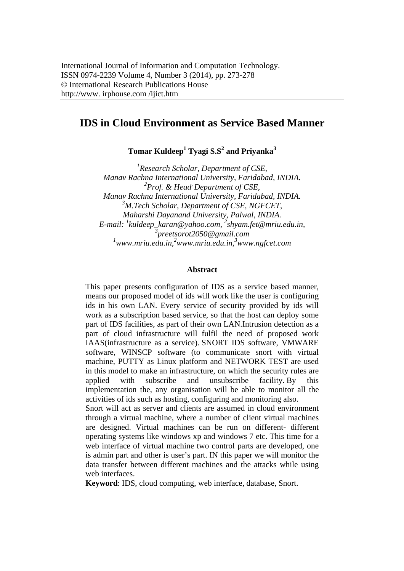# **IDS in Cloud Environment as Service Based Manner**

 $\bf {Tomar\ Kuldeep}^1$   $\bf {Tyagi\ S. S}^2$  and  $\bf {Privanka}^3$ 

*1 Research Scholar, Department of CSE, Manav Rachna International University, Faridabad, INDIA. 2 Prof. & Head, Department of CSE, Manav Rachna International University, Faridabad, INDIA. 3 M.Tech Scholar, Department of CSE, NGFCET, Maharshi Dayanand University, Palwal, INDIA. E-mail: 1 kuldeep\_karan@yahoo.com, 2 shyam.fet@mriu.edu.in, 3 preetsorot2050@gmail.com 1 www.mriu.edu.in,2 www.mriu.edu.in,3 www.ngfcet.com* 

#### **Abstract**

This paper presents configuration of IDS as a service based manner, means our proposed model of ids will work like the user is configuring ids in his own LAN. Every service of security provided by ids will work as a subscription based service, so that the host can deploy some part of IDS facilities, as part of their own LAN.Intrusion detection as a part of cloud infrastructure will fulfil the need of proposed work IAAS(infrastructure as a service). SNORT IDS software, VMWARE software, WINSCP software (to communicate snort with virtual machine, PUTTY as Linux platform and NETWORK TEST are used in this model to make an infrastructure, on which the security rules are applied with subscribe and unsubscribe facility. By this implementation the, any organisation will be able to monitor all the activities of ids such as hosting, configuring and monitoring also.

Snort will act as server and clients are assumed in cloud environment through a virtual machine, where a number of client virtual machines are designed. Virtual machines can be run on different- different operating systems like windows xp and windows 7 etc. This time for a web interface of virtual machine two control parts are developed, one is admin part and other is user's part. IN this paper we will monitor the data transfer between different machines and the attacks while using web interfaces.

**Keyword**: IDS, cloud computing, web interface, database, Snort.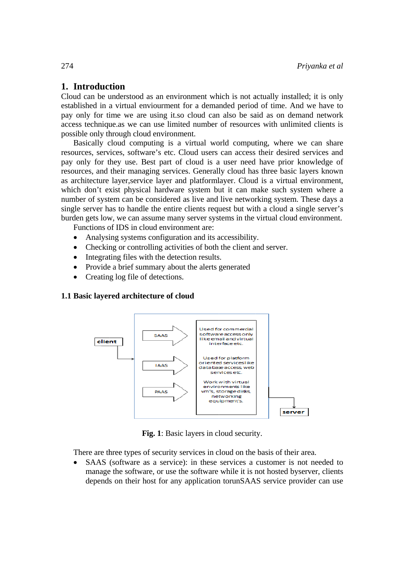# 1. Introduction

Cloud can be understood as an environment which is not actually installed; it is only established in a virtual enviourment for a demanded period of time. And we have to pay only for time we are using it so cloud can also be said as on demand network access technique as we can use limited number of resources with unlimited clients is possible only through cloud environment.

Basically cloud computing is a virtual world computing, where we can share resources, services, software's etc. Cloud users can access their desired services and pay only for they use. Best part of cloud is a user need have prior knowledge of resources, and their managing services. Generally cloud has three basic layers known as architecture layer, service layer and platformlayer. Cloud is a virtual environment, which don't exist physical hardware system but it can make such system where a number of system can be considered as live and live networking system. These days a single server has to handle the entire clients request but with a cloud a single server's burden gets low, we can assume many server systems in the virtual cloud environment.

Functions of IDS in cloud environment are:

- Analysing systems configuration and its accessibility.
- Checking or controlling activities of both the client and server.  $\bullet$
- Integrating files with the detection results.
- Provide a brief summary about the alerts generated
- $\bullet$ Creating log file of detections.

#### 1.1 Basic layered architecture of cloud



Fig. 1: Basic layers in cloud security.

There are three types of security services in cloud on the basis of their area.

SAAS (software as a service): in these services a customer is not needed to manage the software, or use the software while it is not hosted byserver, clients depends on their host for any application torunSAAS service provider can use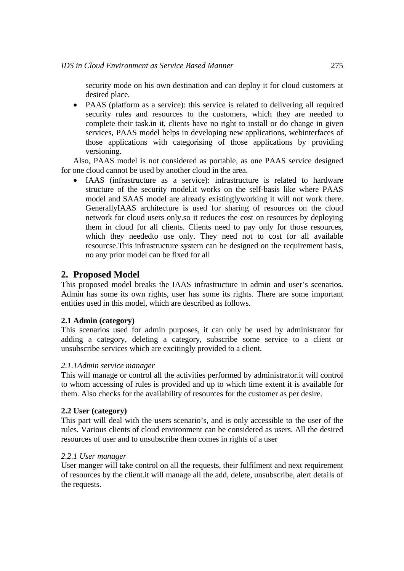security mode on his own destination and can deploy it for cloud customers at desired place.

• PAAS (platform as a service): this service is related to delivering all required security rules and resources to the customers, which they are needed to complete their task.in it, clients have no right to install or do change in given services, PAAS model helps in developing new applications, webinterfaces of those applications with categorising of those applications by providing versioning.

Also, PAAS model is not considered as portable, as one PAAS service designed for one cloud cannot be used by another cloud in the area.

• IAAS (infrastructure as a service): infrastructure is related to hardware structure of the security model.it works on the self-basis like where PAAS model and SAAS model are already existinglyworking it will not work there. GenerallyIAAS architecture is used for sharing of resources on the cloud network for cloud users only.so it reduces the cost on resources by deploying them in cloud for all clients. Clients need to pay only for those resources, which they neededto use only. They need not to cost for all available resourcse.This infrastructure system can be designed on the requirement basis, no any prior model can be fixed for all

## **2. Proposed Model**

This proposed model breaks the IAAS infrastructure in admin and user's scenarios. Admin has some its own rights, user has some its rights. There are some important entities used in this model, which are described as follows.

#### **2.1 Admin (category)**

This scenarios used for admin purposes, it can only be used by administrator for adding a category, deleting a category, subscribe some service to a client or unsubscribe services which are excitingly provided to a client.

#### *2.1.1Admin service manager*

This will manage or control all the activities performed by administrator.it will control to whom accessing of rules is provided and up to which time extent it is available for them. Also checks for the availability of resources for the customer as per desire.

#### **2.2 User (category)**

This part will deal with the users scenario's, and is only accessible to the user of the rules. Various clients of cloud environment can be considered as users. All the desired resources of user and to unsubscribe them comes in rights of a user

#### *2.2.1 User manager*

User manger will take control on all the requests, their fulfilment and next requirement of resources by the client.it will manage all the add, delete, unsubscribe, alert details of the requests.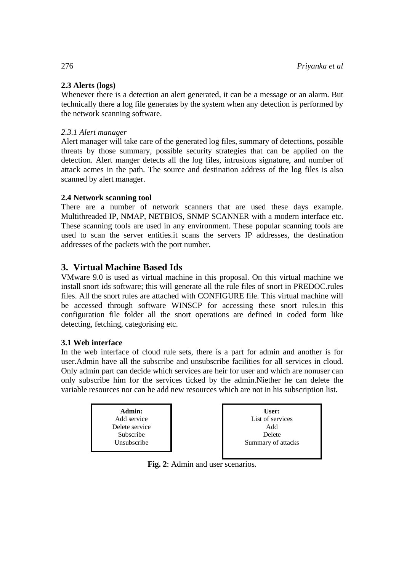## **2.3 Alerts (logs)**

Whenever there is a detection an alert generated, it can be a message or an alarm. But technically there a log file generates by the system when any detection is performed by the network scanning software.

## *2.3.1 Alert manager*

Alert manager will take care of the generated log files, summary of detections, possible threats by those summary, possible security strategies that can be applied on the detection. Alert manger detects all the log files, intrusions signature, and number of attack acmes in the path. The source and destination address of the log files is also scanned by alert manager.

## **2.4 Network scanning tool**

There are a number of network scanners that are used these days example. Multithreaded IP, NMAP, NETBIOS, SNMP SCANNER with a modern interface etc. These scanning tools are used in any environment. These popular scanning tools are used to scan the server entities.it scans the servers IP addresses, the destination addresses of the packets with the port number.

# **3. Virtual Machine Based Ids**

VMware 9.0 is used as virtual machine in this proposal. On this virtual machine we install snort ids software; this will generate all the rule files of snort in PREDOC.rules files. All the snort rules are attached with CONFIGURE file. This virtual machine will be accessed through software WINSCP for accessing these snort rules.in this configuration file folder all the snort operations are defined in coded form like detecting, fetching, categorising etc.

## **3.1 Web interface**

In the web interface of cloud rule sets, there is a part for admin and another is for user.Admin have all the subscribe and unsubscribe facilities for all services in cloud. Only admin part can decide which services are heir for user and which are nonuser can only subscribe him for the services ticked by the admin.Niether he can delete the variable resources nor can he add new resources which are not in his subscription list.



**Fig. 2**: Admin and user scenarios.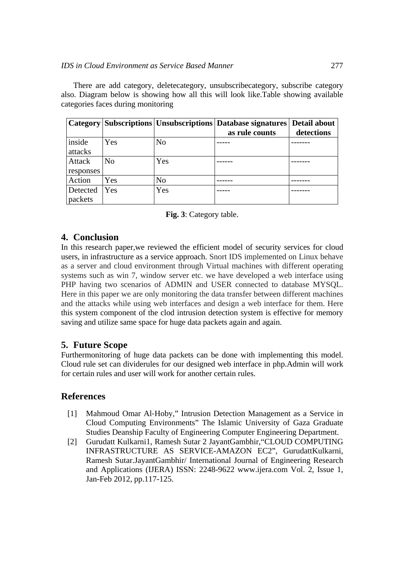There are add category, deletecategory, unsubscribecategory, subscribe category also. Diagram below is showing how all this will look like.Table showing available categories faces during monitoring

|                     |                |                | Category   Subscriptions   Unsubscriptions   Database signatures<br>as rule counts | Detail about<br>detections |
|---------------------|----------------|----------------|------------------------------------------------------------------------------------|----------------------------|
| inside<br>attacks   | Yes            | N <sub>o</sub> |                                                                                    |                            |
| Attack<br>responses | N <sub>0</sub> | Yes            |                                                                                    |                            |
| Action              | Yes            | No             |                                                                                    |                            |
| Detected<br>packets | Yes            | Yes            |                                                                                    |                            |



# **4. Conclusion**

In this research paper,we reviewed the efficient model of security services for cloud users, in infrastructure as a service approach. Snort IDS implemented on Linux behave as a server and cloud environment through Virtual machines with different operating systems such as win 7, window server etc. we have developed a web interface using PHP having two scenarios of ADMIN and USER connected to database MYSQL. Here in this paper we are only monitoring the data transfer between different machines and the attacks while using web interfaces and design a web interface for them. Here this system component of the clod intrusion detection system is effective for memory saving and utilize same space for huge data packets again and again.

## **5. Future Scope**

Furthermonitoring of huge data packets can be done with implementing this model. Cloud rule set can dividerules for our designed web interface in php.Admin will work for certain rules and user will work for another certain rules.

## **References**

- [1] Mahmoud Omar Al-Hoby," Intrusion Detection Management as a Service in Cloud Computing Environments" The Islamic University of Gaza Graduate Studies Deanship Faculty of Engineering Computer Engineering Department.
- [2] Gurudatt Kulkarni1, Ramesh Sutar 2 JayantGambhir,"CLOUD COMPUTING INFRASTRUCTURE AS SERVICE-AMAZON EC2", GurudattKulkarni, Ramesh Sutar.JayantGambhir/ International Journal of Engineering Research and Applications (IJERA) ISSN: 2248-9622 www.ijera.com Vol. 2, Issue 1, Jan-Feb 2012, pp.117-125.